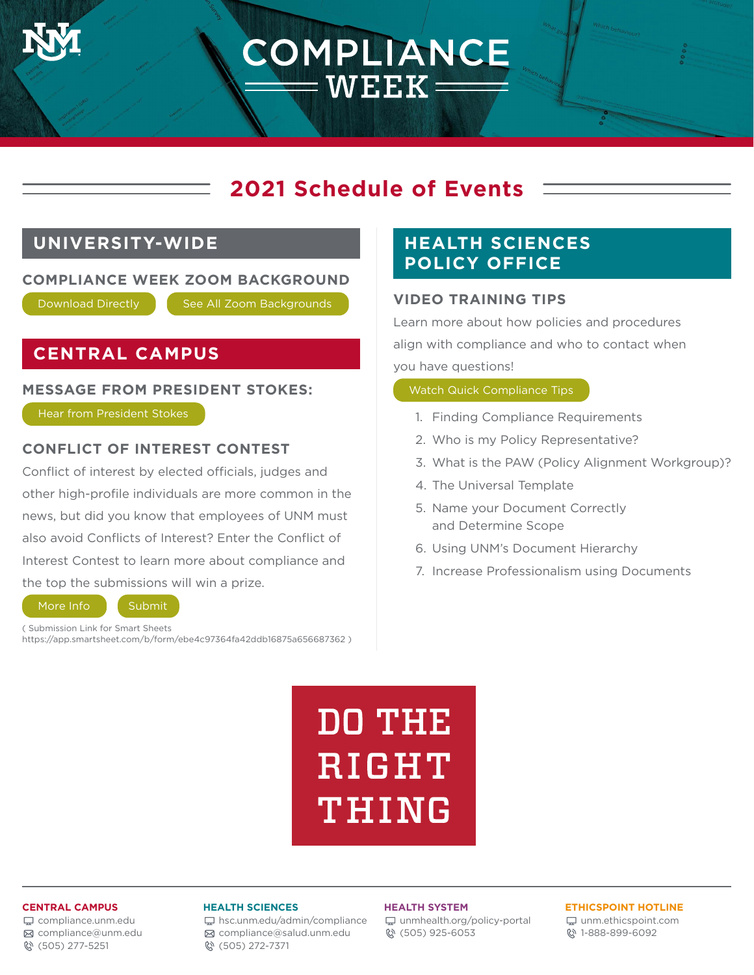## **2021 Schedule of Events**

COMPLIANCE

**WEEK:** 

## **UNIVERSITY-WIDE**

#### **COMPLIANCE WEEK ZOOM BACKGROUND**

Download Directly | See All Zoom Backgrounds

## **CENTRAL CAMPUS**

#### **MESSAGE FROM PRESIDENT STOKES:**

Hear from President Stokes

#### **CONFLICT OF INTEREST CONTEST**

Conflict of interest by elected officials, judges and other high-profile individuals are more common in the news, but did you know that employees of UNM must also avoid Conflicts of Interest? Enter the Conflict of Interest Contest to learn more about compliance and the top the submissions will win a prize. **ESSAGE FROM PRESIDENT STOKES:**<br> **Hear from President Stokes**<br> **DINFLICT OF INTEREST CONTEST**<br>
The strategy effected officials, judges and<br>
The Diversal Template<br>
The Diversal Template<br>
Was, but did you know that employees

( Submission Link for Smart Sheets https://app.smartsheet.com/b/form/ebe4c97364fa42ddb16875a656687362 )

## **HEALTH SCIENCES POLICY OFFICE**

#### **VIDEO TRAINING TIPS**

Learn more about how policies and procedures align with compliance and who to contact when you have questions!

- 1. Finding Compliance Requirements
- 2. Who is my Policy Representative?
- 3. What is the PAW (Policy Alignment Workgroup)?
- 4. The Universal Template
- 5. Name your Document Correctly and Determine Scope
- 6. Using UNM's Document Hierarchy
- 7. Increase Professionalism using Documents

**DO THE** RIGHT THING

#### **CENTRAL CAMPUS**

[compliance.unm.edu](http://compliance.unm.edu) [compliance@unm.edu](mailto:compliance@unm.edu) (505) 277-5251

#### **HEALTH SCIENCES**

[hsc.unm.edu/admin/compliance](http://hsc.unm.edu/admin/compliance) [compliance@salud.unm.edu](mailto:compliance@salud.unm.edu) (505) 272-7371

#### **HEALTH SYSTEM**

[unmhealth.org/policy-portal](http://unmhealth.org/policy-portal) (505) 925-6053

#### **ETHICSPOINT HOTLINE**

[unm.ethicspoint.com](http://unm.ethicspoint.com) 1-888-899-6092